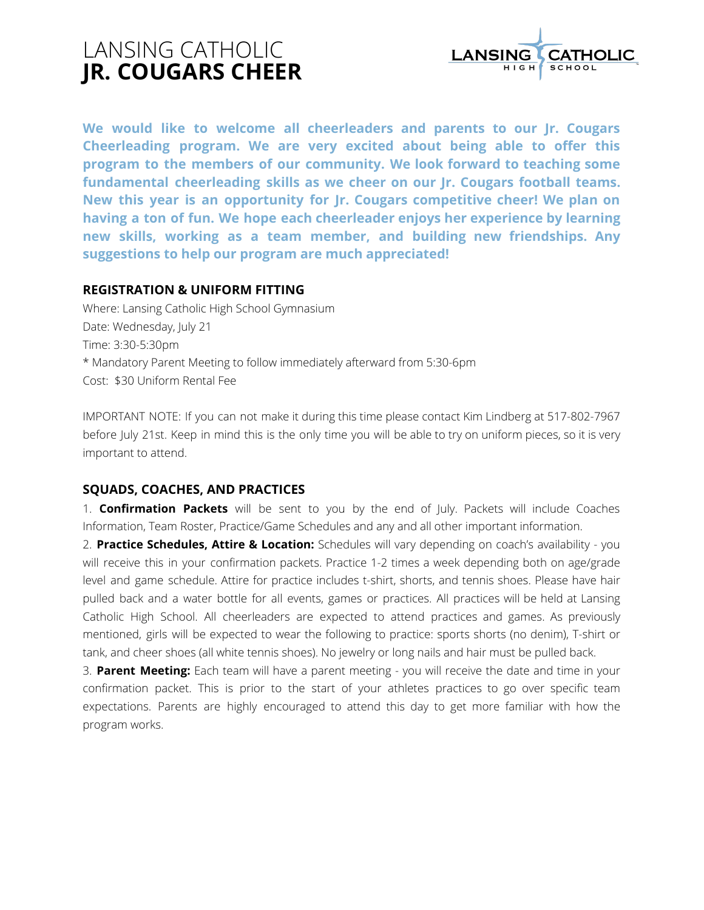# LANSING CATHOLIC **JR. COUGARS CHEER**



**We would like to welcome all cheerleaders and parents to our Jr. Cougars Cheerleading program. We are very excited about being able to offer this program to the members of our community. We look forward to teaching some fundamental cheerleading skills as we cheer on our Jr. Cougars football teams. New this year is an opportunity for Jr. Cougars competitive cheer! We plan on having a ton of fun. We hope each cheerleader enjoys her experience by learning new skills, working as a team member, and building new friendships. Any suggestions to help our program are much appreciated!**

# **REGISTRATION & UNIFORM FITTING**

Where: Lansing Catholic High School Gymnasium Date: Wednesday, July 21 Time: 3:30-5:30pm \* Mandatory Parent Meeting to follow immediately afterward from 5:30-6pm Cost: \$30 Uniform Rental Fee

IMPORTANT NOTE: If you can not make it during this time please contact Kim Lindberg at 517-802-7967 before July 21st. Keep in mind this is the only time you will be able to try on uniform pieces, so it is very important to attend.

# **SQUADS, COACHES, AND PRACTICES**

1. **Confirmation Packets** will be sent to you by the end of July. Packets will include Coaches Information, Team Roster, Practice/Game Schedules and any and all other important information.

2. **Practice Schedules, Attire & Location:** Schedules will vary depending on coach's availability - you will receive this in your confirmation packets. Practice 1-2 times a week depending both on age/grade level and game schedule. Attire for practice includes t-shirt, shorts, and tennis shoes. Please have hair pulled back and a water bottle for all events, games or practices. All practices will be held at Lansing Catholic High School. All cheerleaders are expected to attend practices and games. As previously mentioned, girls will be expected to wear the following to practice: sports shorts (no denim), T-shirt or tank, and cheer shoes (all white tennis shoes). No jewelry or long nails and hair must be pulled back.

3. **Parent Meeting:** Each team will have a parent meeting - you will receive the date and time in your confirmation packet. This is prior to the start of your athletes practices to go over specific team expectations. Parents are highly encouraged to attend this day to get more familiar with how the program works.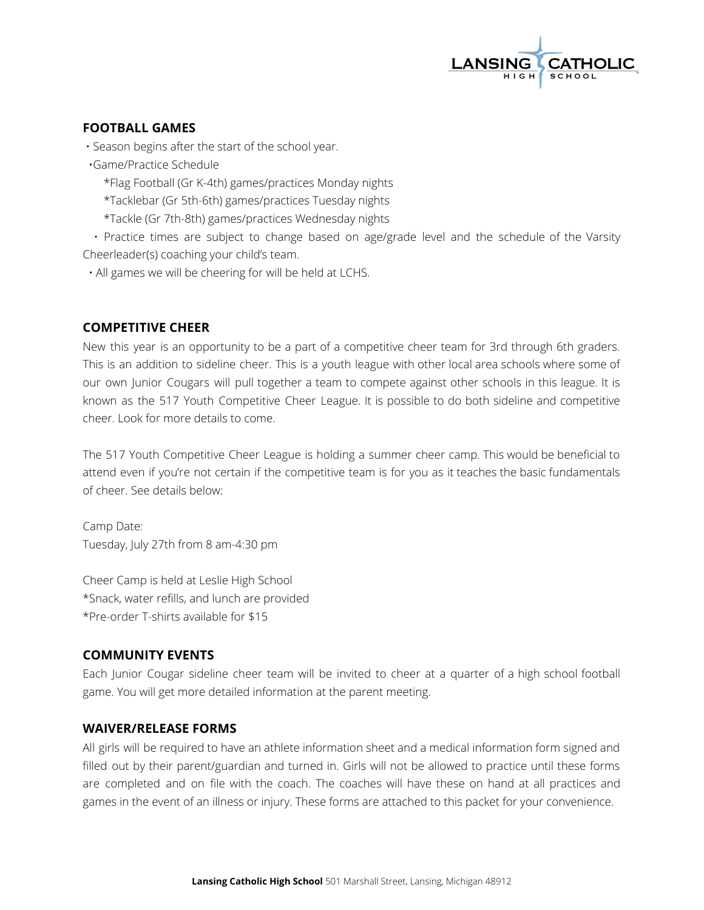

## **FOOTBALL GAMES**

• Season begins after the start of the school year.

•Game/Practice Schedule

\*Flag Football (Gr K-4th) games/practices Monday nights

\*Tacklebar (Gr 5th-6th) games/practices Tuesday nights

\*Tackle (Gr 7th-8th) games/practices Wednesday nights

• Practice times are subject to change based on age/grade level and the schedule of the Varsity Cheerleader(s) coaching your child's team.

• All games we will be cheering for will be held at LCHS.

# **COMPETITIVE CHEER**

New this year is an opportunity to be a part of a competitive cheer team for 3rd through 6th graders. This is an addition to sideline cheer. This is a youth league with other local area schools where some of our own Junior Cougars will pull together a team to compete against other schools in this league. It is known as the 517 Youth Competitive Cheer League. It is possible to do both sideline and competitive cheer. Look for more details to come.

The 517 Youth Competitive Cheer League is holding a summer cheer camp. This would be beneficial to attend even if you're not certain if the competitive team is for you as it teaches the basic fundamentals of cheer. See details below:

Camp Date: Tuesday, July 27th from 8 am-4:30 pm

Cheer Camp is held at Leslie High School \*Snack, water refills, and lunch are provided \*Pre-order T-shirts available for \$15

### **COMMUNITY EVENTS**

Each Junior Cougar sideline cheer team will be invited to cheer at a quarter of a high school football game. You will get more detailed information at the parent meeting.

### **WAIVER/RELEASE FORMS**

All girls will be required to have an athlete information sheet and a medical information form signed and filled out by their parent/guardian and turned in. Girls will not be allowed to practice until these forms are completed and on file with the coach. The coaches will have these on hand at all practices and games in the event of an illness or injury. These forms are attached to this packet for your convenience.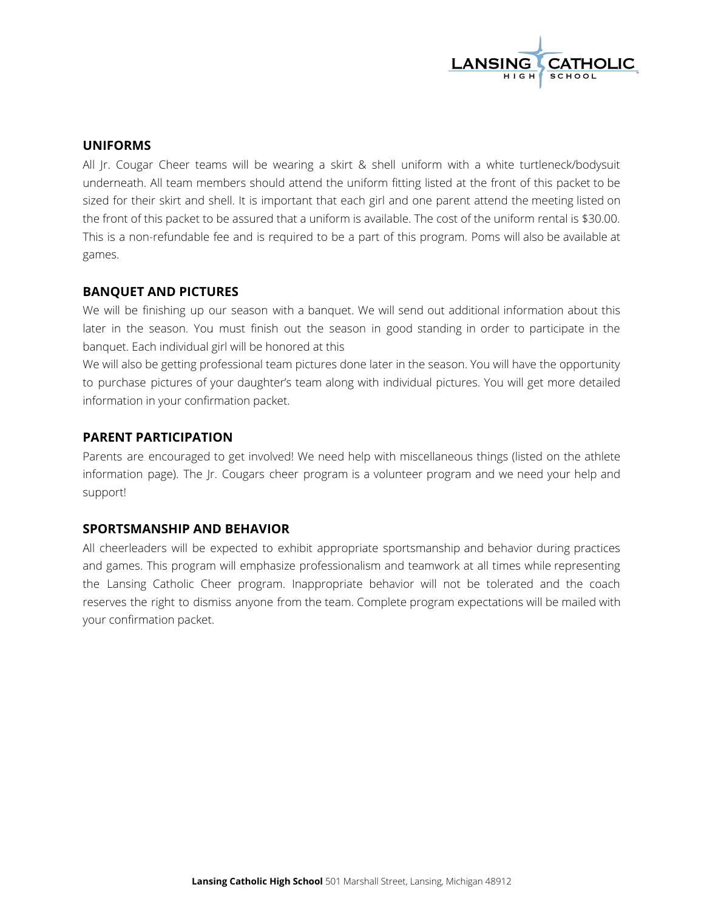

#### **UNIFORMS**

All Jr. Cougar Cheer teams will be wearing a skirt & shell uniform with a white turtleneck/bodysuit underneath. All team members should attend the uniform fitting listed at the front of this packet to be sized for their skirt and shell. It is important that each girl and one parent attend the meeting listed on the front of this packet to be assured that a uniform is available. The cost of the uniform rental is \$30.00. This is a non-refundable fee and is required to be a part of this program. Poms will also be available at games.

#### **BANQUET AND PICTURES**

We will be finishing up our season with a banquet. We will send out additional information about this later in the season. You must finish out the season in good standing in order to participate in the banquet. Each individual girl will be honored at this

We will also be getting professional team pictures done later in the season. You will have the opportunity to purchase pictures of your daughter's team along with individual pictures. You will get more detailed information in your confirmation packet.

#### **PARENT PARTICIPATION**

Parents are encouraged to get involved! We need help with miscellaneous things (listed on the athlete information page). The Jr. Cougars cheer program is a volunteer program and we need your help and support!

#### **SPORTSMANSHIP AND BEHAVIOR**

All cheerleaders will be expected to exhibit appropriate sportsmanship and behavior during practices and games. This program will emphasize professionalism and teamwork at all times while representing the Lansing Catholic Cheer program. Inappropriate behavior will not be tolerated and the coach reserves the right to dismiss anyone from the team. Complete program expectations will be mailed with your confirmation packet.